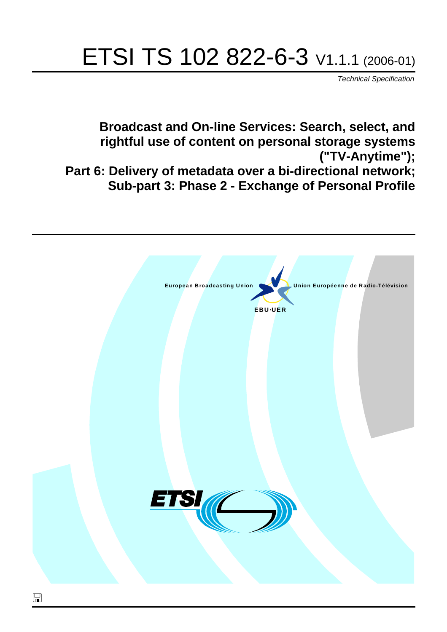# ETSI TS 102 822-6-3 V1.1.1 (2006-01)

Technical Specification

**Broadcast and On-line Services: Search, select, and rightful use of content on personal storage systems ("TV-Anytime"); Part 6: Delivery of metadata over a bi-directional network; Sub-part 3: Phase 2 - Exchange of Personal Profile**

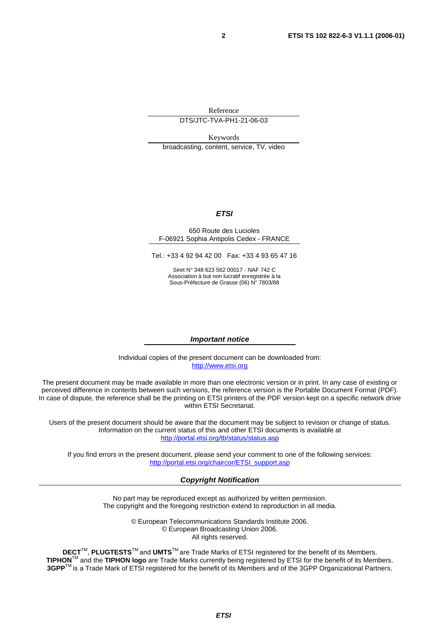Reference

DTS/JTC-TVA-PH1-21-06-03

Keywords

broadcasting, content, service, TV, video

#### **ETSI**

#### 650 Route des Lucioles F-06921 Sophia Antipolis Cedex - FRANCE

Tel.: +33 4 92 94 42 00 Fax: +33 4 93 65 47 16

Siret N° 348 623 562 00017 - NAF 742 C Association à but non lucratif enregistrée à la Sous-Préfecture de Grasse (06) N° 7803/88

#### **Important notice**

Individual copies of the present document can be downloaded from: [http://www.etsi.org](http://www.etsi.org/)

The present document may be made available in more than one electronic version or in print. In any case of existing or perceived difference in contents between such versions, the reference version is the Portable Document Format (PDF). In case of dispute, the reference shall be the printing on ETSI printers of the PDF version kept on a specific network drive within ETSI Secretariat.

Users of the present document should be aware that the document may be subject to revision or change of status. Information on the current status of this and other ETSI documents is available at <http://portal.etsi.org/tb/status/status.asp>

If you find errors in the present document, please send your comment to one of the following services: [http://portal.etsi.org/chaircor/ETSI\\_support.asp](http://portal.etsi.org/chaircor/ETSI_support.asp)

#### **Copyright Notification**

No part may be reproduced except as authorized by written permission. The copyright and the foregoing restriction extend to reproduction in all media.

> © European Telecommunications Standards Institute 2006. © European Broadcasting Union 2006. All rights reserved.

**DECT**TM, **PLUGTESTS**TM and **UMTS**TM are Trade Marks of ETSI registered for the benefit of its Members. **TIPHON**TM and the **TIPHON logo** are Trade Marks currently being registered by ETSI for the benefit of its Members. **3GPP**TM is a Trade Mark of ETSI registered for the benefit of its Members and of the 3GPP Organizational Partners.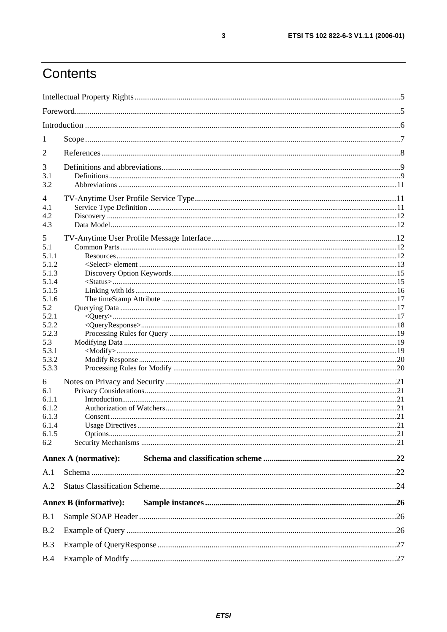## Contents

| 1              |                               |  |
|----------------|-------------------------------|--|
| 2              |                               |  |
|                |                               |  |
| 3<br>3.1       |                               |  |
| 3.2            |                               |  |
|                |                               |  |
| 4<br>4.1       |                               |  |
| 4.2            |                               |  |
| 4.3            |                               |  |
|                |                               |  |
| 5<br>5.1       |                               |  |
| 5.1.1          |                               |  |
| 5.1.2          |                               |  |
| 5.1.3          |                               |  |
| 5.1.4          |                               |  |
| 5.1.5          |                               |  |
| 5.1.6          |                               |  |
| 5.2            |                               |  |
| 5.2.1          |                               |  |
| 5.2.2          |                               |  |
| 5.2.3          |                               |  |
| 5.3            |                               |  |
| 5.3.1<br>5.3.2 |                               |  |
| 5.3.3          |                               |  |
|                |                               |  |
| 6              |                               |  |
| 6.1            |                               |  |
| 6.1.1          |                               |  |
| 6.1.2<br>6.1.3 |                               |  |
| 6.1.4          |                               |  |
| 6.1.5          |                               |  |
| 6.2            |                               |  |
|                |                               |  |
|                | <b>Annex A (normative):</b>   |  |
| A.1            |                               |  |
| A.2            |                               |  |
|                | <b>Annex B</b> (informative): |  |
| B.1            |                               |  |
| B.2            |                               |  |
| B.3            |                               |  |
| B.4            |                               |  |
|                |                               |  |

 $\mathbf{3}$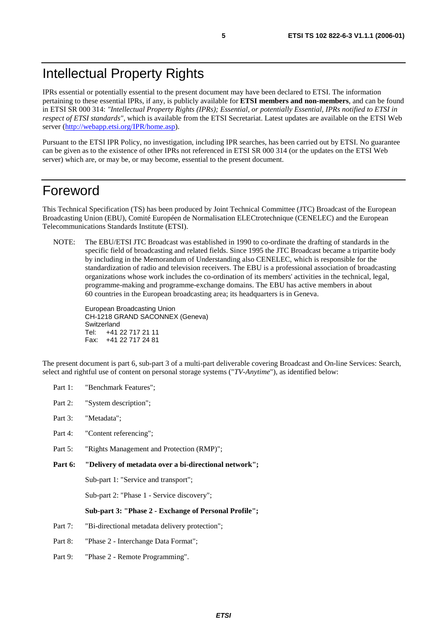IPRs essential or potentially essential to the present document may have been declared to ETSI. The information pertaining to these essential IPRs, if any, is publicly available for **ETSI members and non-members**, and can be found in ETSI SR 000 314: *"Intellectual Property Rights (IPRs); Essential, or potentially Essential, IPRs notified to ETSI in respect of ETSI standards"*, which is available from the ETSI Secretariat. Latest updates are available on the ETSI Web server (<http://webapp.etsi.org/IPR/home.asp>).

Pursuant to the ETSI IPR Policy, no investigation, including IPR searches, has been carried out by ETSI. No guarantee can be given as to the existence of other IPRs not referenced in ETSI SR 000 314 (or the updates on the ETSI Web server) which are, or may be, or may become, essential to the present document.

### Foreword

This Technical Specification (TS) has been produced by Joint Technical Committee (JTC) Broadcast of the European Broadcasting Union (EBU), Comité Européen de Normalisation ELECtrotechnique (CENELEC) and the European Telecommunications Standards Institute (ETSI).

NOTE: The EBU/ETSI JTC Broadcast was established in 1990 to co-ordinate the drafting of standards in the specific field of broadcasting and related fields. Since 1995 the JTC Broadcast became a tripartite body by including in the Memorandum of Understanding also CENELEC, which is responsible for the standardization of radio and television receivers. The EBU is a professional association of broadcasting organizations whose work includes the co-ordination of its members' activities in the technical, legal, programme-making and programme-exchange domains. The EBU has active members in about 60 countries in the European broadcasting area; its headquarters is in Geneva.

European Broadcasting Union CH-1218 GRAND SACONNEX (Geneva) Switzerland Tel: +41 22 717 21 11 Fax: +41 22 717 24 81

The present document is part 6, sub-part 3 of a multi-part deliverable covering Broadcast and On-line Services: Search, select and rightful use of content on personal storage systems ("*TV-Anytime*"), as identified below:

- Part 1: "Benchmark Features";
- Part 2: "System description";
- Part 3: "Metadata";
- Part 4: "Content referencing";
- Part 5: "Rights Management and Protection (RMP)";
- **Part 6: "Delivery of metadata over a bi-directional network";**

Sub-part 1: "Service and transport";

Sub-part 2: "Phase 1 - Service discovery";

#### **Sub-part 3: "Phase 2 - Exchange of Personal Profile";**

- Part 7: "Bi-directional metadata delivery protection";
- Part 8: "Phase 2 Interchange Data Format";
- Part 9: "Phase 2 Remote Programming".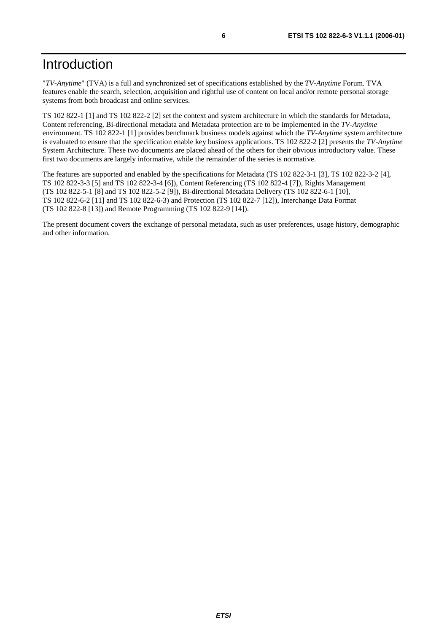### Introduction

"*TV-Anytime*" (TVA) is a full and synchronized set of specifications established by the *TV-Anytime* Forum. TVA features enable the search, selection, acquisition and rightful use of content on local and/or remote personal storage systems from both broadcast and online services.

TS 102 822-1 [1] and TS 102 822-2 [2] set the context and system architecture in which the standards for Metadata, Content referencing, Bi-directional metadata and Metadata protection are to be implemented in the *TV-Anytime* environment. TS 102 822-1 [1] provides benchmark business models against which the *TV-Anytime* system architecture is evaluated to ensure that the specification enable key business applications. TS 102 822-2 [2] presents the *TV-Anytime* System Architecture. These two documents are placed ahead of the others for their obvious introductory value. These first two documents are largely informative, while the remainder of the series is normative.

The features are supported and enabled by the specifications for Metadata (TS 102 822-3-1 [3], TS 102 822-3-2 [4], TS 102 822-3-3 [5] and TS 102 822-3-4 [6]), Content Referencing (TS 102 822-4 [7]), Rights Management (TS 102 822-5-1 [8] and TS 102 822-5-2 [9]), Bi-directional Metadata Delivery (TS 102 822-6-1 [10], TS 102 822-6-2 [11] and TS 102 822-6-3) and Protection (TS 102 822-7 [12]), Interchange Data Format (TS 102 822-8 [13]) and Remote Programming (TS 102 822-9 [14]).

The present document covers the exchange of personal metadata, such as user preferences, usage history, demographic and other information.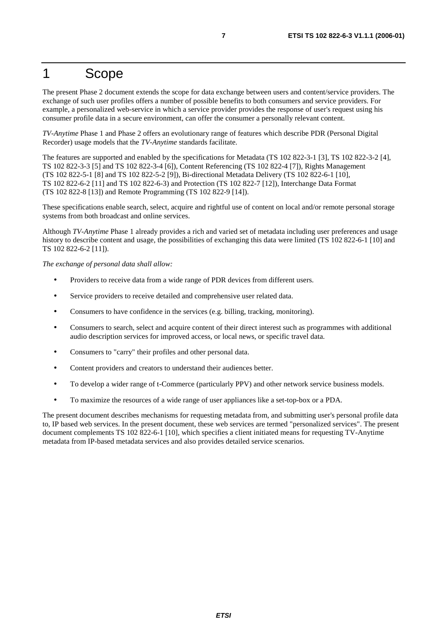### 1 Scope

The present Phase 2 document extends the scope for data exchange between users and content/service providers. The exchange of such user profiles offers a number of possible benefits to both consumers and service providers. For example, a personalized web-service in which a service provider provides the response of user's request using his consumer profile data in a secure environment, can offer the consumer a personally relevant content.

*TV-Anytime* Phase 1 and Phase 2 offers an evolutionary range of features which describe PDR (Personal Digital Recorder) usage models that the *TV-Anytime* standards facilitate.

The features are supported and enabled by the specifications for Metadata (TS 102 822-3-1 [3], TS 102 822-3-2 [4], TS 102 822-3-3 [5] and TS 102 822-3-4 [6]), Content Referencing (TS 102 822-4 [7]), Rights Management (TS 102 822-5-1 [8] and TS 102 822-5-2 [9]), Bi-directional Metadata Delivery (TS 102 822-6-1 [10], TS 102 822-6-2 [11] and TS 102 822-6-3) and Protection (TS 102 822-7 [12]), Interchange Data Format (TS 102 822-8 [13]) and Remote Programming (TS 102 822-9 [14]).

These specifications enable search, select, acquire and rightful use of content on local and/or remote personal storage systems from both broadcast and online services.

Although *TV-Anytime* Phase 1 already provides a rich and varied set of metadata including user preferences and usage history to describe content and usage, the possibilities of exchanging this data were limited (TS 102 822-6-1 [10] and TS 102 822-6-2 [11]).

*The exchange of personal data shall allow:* 

- Providers to receive data from a wide range of PDR devices from different users.
- Service providers to receive detailed and comprehensive user related data.
- Consumers to have confidence in the services (e.g. billing, tracking, monitoring).
- Consumers to search, select and acquire content of their direct interest such as programmes with additional audio description services for improved access, or local news, or specific travel data.
- Consumers to "carry" their profiles and other personal data.
- Content providers and creators to understand their audiences better.
- To develop a wider range of t-Commerce (particularly PPV) and other network service business models.
- To maximize the resources of a wide range of user appliances like a set-top-box or a PDA.

The present document describes mechanisms for requesting metadata from, and submitting user's personal profile data to, IP based web services. In the present document, these web services are termed "personalized services". The present document complements TS 102 822-6-1 [10], which specifies a client initiated means for requesting TV-Anytime metadata from IP-based metadata services and also provides detailed service scenarios.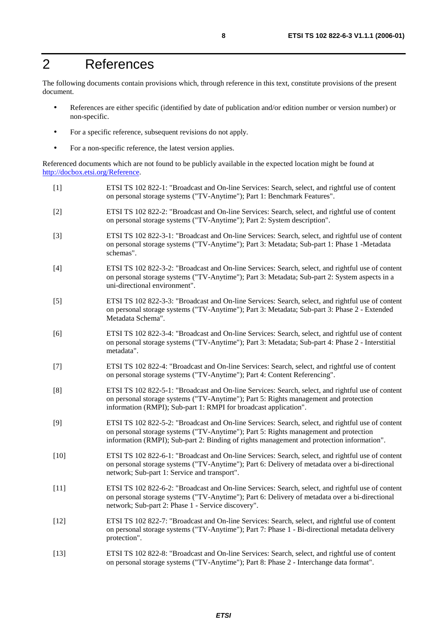### 2 References

The following documents contain provisions which, through reference in this text, constitute provisions of the present document.

- References are either specific (identified by date of publication and/or edition number or version number) or non-specific.
- For a specific reference, subsequent revisions do not apply.
- For a non-specific reference, the latest version applies.

Referenced documents which are not found to be publicly available in the expected location might be found at <http://docbox.etsi.org/Reference>.

| $[1]$  | ETSI TS 102 822-1: "Broadcast and On-line Services: Search, select, and rightful use of content<br>on personal storage systems ("TV-Anytime"); Part 1: Benchmark Features".                                                                                                            |
|--------|----------------------------------------------------------------------------------------------------------------------------------------------------------------------------------------------------------------------------------------------------------------------------------------|
| $[2]$  | ETSI TS 102 822-2: "Broadcast and On-line Services: Search, select, and rightful use of content<br>on personal storage systems ("TV-Anytime"); Part 2: System description".                                                                                                            |
| $[3]$  | ETSI TS 102 822-3-1: "Broadcast and On-line Services: Search, select, and rightful use of content<br>on personal storage systems ("TV-Anytime"); Part 3: Metadata; Sub-part 1: Phase 1 -Metadata<br>schemas".                                                                          |
| $[4]$  | ETSI TS 102 822-3-2: "Broadcast and On-line Services: Search, select, and rightful use of content<br>on personal storage systems ("TV-Anytime"); Part 3: Metadata; Sub-part 2: System aspects in a<br>uni-directional environment".                                                    |
| $[5]$  | ETSI TS 102 822-3-3: "Broadcast and On-line Services: Search, select, and rightful use of content<br>on personal storage systems ("TV-Anytime"); Part 3: Metadata; Sub-part 3: Phase 2 - Extended<br>Metadata Schema".                                                                 |
| [6]    | ETSI TS 102 822-3-4: "Broadcast and On-line Services: Search, select, and rightful use of content<br>on personal storage systems ("TV-Anytime"); Part 3: Metadata; Sub-part 4: Phase 2 - Interstitial<br>metadata".                                                                    |
| $[7]$  | ETSI TS 102 822-4: "Broadcast and On-line Services: Search, select, and rightful use of content<br>on personal storage systems ("TV-Anytime"); Part 4: Content Referencing".                                                                                                           |
| [8]    | ETSI TS 102 822-5-1: "Broadcast and On-line Services: Search, select, and rightful use of content<br>on personal storage systems ("TV-Anytime"); Part 5: Rights management and protection<br>information (RMPI); Sub-part 1: RMPI for broadcast application".                          |
| $[9]$  | ETSI TS 102 822-5-2: "Broadcast and On-line Services: Search, select, and rightful use of content<br>on personal storage systems ("TV-Anytime"); Part 5: Rights management and protection<br>information (RMPI); Sub-part 2: Binding of rights management and protection information". |
| $[10]$ | ETSI TS 102 822-6-1: "Broadcast and On-line Services: Search, select, and rightful use of content<br>on personal storage systems ("TV-Anytime"); Part 6: Delivery of metadata over a bi-directional<br>network; Sub-part 1: Service and transport".                                    |
| $[11]$ | ETSI TS 102 822-6-2: "Broadcast and On-line Services: Search, select, and rightful use of content<br>on personal storage systems ("TV-Anytime"); Part 6: Delivery of metadata over a bi-directional<br>network; Sub-part 2: Phase 1 - Service discovery".                              |
| $[12]$ | ETSI TS 102 822-7: "Broadcast and On-line Services: Search, select, and rightful use of content<br>on personal storage systems ("TV-Anytime"); Part 7: Phase 1 - Bi-directional metadata delivery<br>protection".                                                                      |
| $[13]$ | ETSI TS 102 822-8: "Broadcast and On-line Services: Search, select, and rightful use of content<br>on personal storage systems ("TV-Anytime"); Part 8: Phase 2 - Interchange data format".                                                                                             |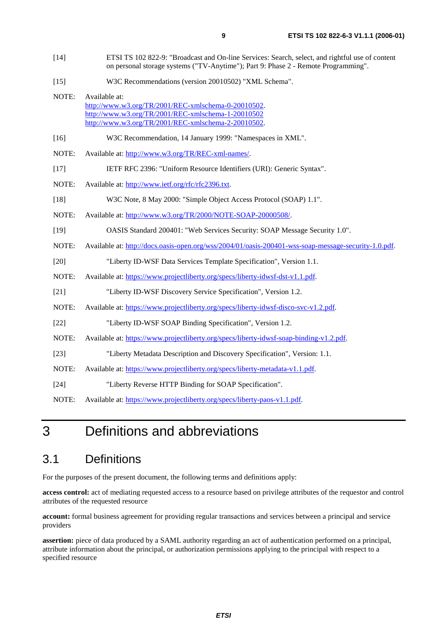- [15] W3C Recommendations (version 20010502) "XML Schema".
- NOTE: Available at: [http://www.w3.org/TR/2001/REC-xmlschema-0-20010502.](http://www.w3.org/TR/2001/REC-xmlschema-0-20010502) <http://www.w3.org/TR/2001/REC-xmlschema-1-20010502> [http://www.w3.org/TR/2001/REC-xmlschema-2-20010502.](http://www.w3.org/XML/Schema)
- [16] W3C Recommendation, 14 January 1999: "Namespaces in XML".
- NOTE: Available at:<http://www.w3.org/TR/REC-xml-names/>.
- [17] IETF RFC 2396: "Uniform Resource Identifiers (URI): Generic Syntax".
- NOTE: Available at:<http://www.ietf.org/rfc/rfc2396.txt>.
- [18] W3C Note, 8 May 2000: "Simple Object Access Protocol (SOAP) 1.1".
- NOTE: Available at:<http://www.w3.org/TR/2000/NOTE-SOAP-20000508/>.
- [19] OASIS Standard 200401: "Web Services Security: SOAP Message Security 1.0".
- NOTE: Available at: [http://docs.oasis-open.org/wss/2004/01/oasis-200401-wss-soap-message-security-1.0.pdf.](http://docs.oasis-open.org/wss/2004/01/oasis-200401-wss-soap-message-security-1.0.pdf)
- [20] "Liberty ID-WSF Data Services Template Specification", Version 1.1.
- NOTE: Available at:<https://www.projectliberty.org/specs/liberty-idwsf-dst-v1.1.pdf>.
- [21] "Liberty ID-WSF Discovery Service Specification", Version 1.2.
- NOTE: Available at:<https://www.projectliberty.org/specs/liberty-idwsf-disco-svc-v1.2.pdf>.
- [22] "Liberty ID-WSF SOAP Binding Specification", Version 1.2.
- NOTE: Available at:<https://www.projectliberty.org/specs/liberty-idwsf-soap-binding-v1.2.pdf>.
- [23] "Liberty Metadata Description and Discovery Specification", Version: 1.1.
- NOTE: Available at:<https://www.projectliberty.org/specs/liberty-metadata-v1.1.pdf>.
- [24] "Liberty Reverse HTTP Binding for SOAP Specification".
- NOTE: Available at:<https://www.projectliberty.org/specs/liberty-paos-v1.1.pdf>.

## 3 Definitions and abbreviations

### 3.1 Definitions

For the purposes of the present document, the following terms and definitions apply:

**access control:** act of mediating requested access to a resource based on privilege attributes of the requestor and control attributes of the requested resource

**account:** formal business agreement for providing regular transactions and services between a principal and service providers

**assertion:** piece of data produced by a SAML authority regarding an act of authentication performed on a principal, attribute information about the principal, or authorization permissions applying to the principal with respect to a specified resource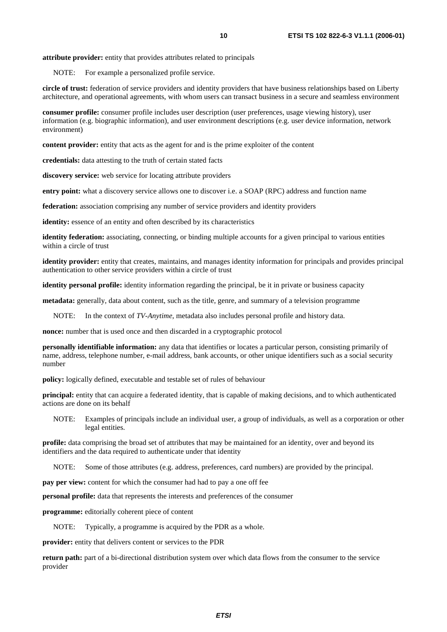NOTE: For example a personalized profile service.

**circle of trust:** federation of service providers and identity providers that have business relationships based on Liberty architecture, and operational agreements, with whom users can transact business in a secure and seamless environment

**consumer profile:** consumer profile includes user description (user preferences, usage viewing history), user information (e.g. biographic information), and user environment descriptions (e.g. user device information, network environment)

**content provider:** entity that acts as the agent for and is the prime exploiter of the content

**credentials:** data attesting to the truth of certain stated facts

**discovery service:** web service for locating attribute providers

**entry point:** what a discovery service allows one to discover i.e. a SOAP (RPC) address and function name

**federation:** association comprising any number of service providers and identity providers

**identity:** essence of an entity and often described by its characteristics

**identity federation:** associating, connecting, or binding multiple accounts for a given principal to various entities within a circle of trust

**identity provider:** entity that creates, maintains, and manages identity information for principals and provides principal authentication to other service providers within a circle of trust

**identity personal profile:** identity information regarding the principal, be it in private or business capacity

**metadata:** generally, data about content, such as the title, genre, and summary of a television programme

NOTE: In the context of *TV-Anytime*, metadata also includes personal profile and history data.

**nonce:** number that is used once and then discarded in a cryptographic protocol

**personally identifiable information:** any data that identifies or locates a particular person, consisting primarily of name, address, telephone number, e-mail address, bank accounts, or other unique identifiers such as a social security number

**policy:** logically defined, executable and testable set of rules of behaviour

**principal:** entity that can acquire a federated identity, that is capable of making decisions, and to which authenticated actions are done on its behalf

NOTE: Examples of principals include an individual user, a group of individuals, as well as a corporation or other legal entities.

**profile:** data comprising the broad set of attributes that may be maintained for an identity, over and beyond its identifiers and the data required to authenticate under that identity

NOTE: Some of those attributes (e.g. address, preferences, card numbers) are provided by the principal.

**pay per view:** content for which the consumer had had to pay a one off fee

**personal profile:** data that represents the interests and preferences of the consumer

**programme:** editorially coherent piece of content

NOTE: Typically, a programme is acquired by the PDR as a whole.

**provider:** entity that delivers content or services to the PDR

**return path:** part of a bi-directional distribution system over which data flows from the consumer to the service provider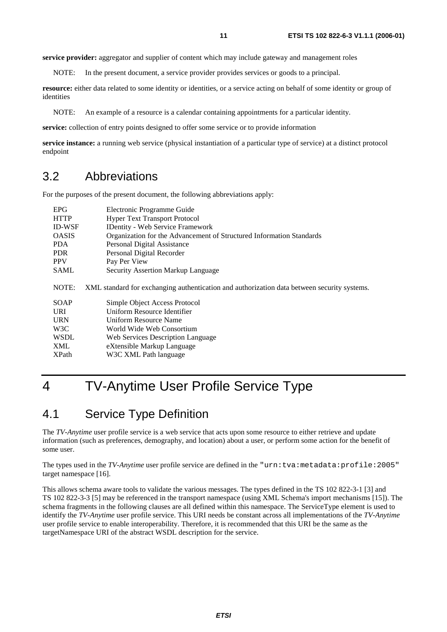**service provider:** aggregator and supplier of content which may include gateway and management roles

NOTE: In the present document, a service provider provides services or goods to a principal.

**resource:** either data related to some identity or identities, or a service acting on behalf of some identity or group of identities

NOTE: An example of a resource is a calendar containing appointments for a particular identity.

**service:** collection of entry points designed to offer some service or to provide information

**service instance:** a running web service (physical instantiation of a particular type of service) at a distinct protocol endpoint

#### 3.2 Abbreviations

For the purposes of the present document, the following abbreviations apply:

| <b>EPG</b>    | Electronic Programme Guide                                                                  |
|---------------|---------------------------------------------------------------------------------------------|
| <b>HTTP</b>   | <b>Hyper Text Transport Protocol</b>                                                        |
| <b>ID-WSF</b> | <b>IDentity - Web Service Framework</b>                                                     |
| <b>OASIS</b>  | Organization for the Advancement of Structured Information Standards                        |
| <b>PDA</b>    | Personal Digital Assistance                                                                 |
| PDR.          | Personal Digital Recorder                                                                   |
| <b>PPV</b>    | Pay Per View                                                                                |
| <b>SAML</b>   | <b>Security Assertion Markup Language</b>                                                   |
| NOTE:         | XML standard for exchanging authentication and authorization data between security systems. |
| <b>SOAP</b>   | Simple Object Access Protocol                                                               |
| <b>URI</b>    | Uniform Resource Identifier                                                                 |
| <b>URN</b>    | Uniform Resource Name                                                                       |
| W3C           | World Wide Web Consortium                                                                   |
| <b>WSDL</b>   | Web Services Description Language                                                           |
| XML           | eXtensible Markup Language                                                                  |
| <b>XPath</b>  | W3C XML Path language                                                                       |

### 4 TV-Anytime User Profile Service Type

#### 4.1 Service Type Definition

The *TV-Anytime* user profile service is a web service that acts upon some resource to either retrieve and update information (such as preferences, demography, and location) about a user, or perform some action for the benefit of some user.

The types used in the *TV-Anytime* user profile service are defined in the "urn:tva:metadata:profile:2005" target namespace [16].

This allows schema aware tools to validate the various messages. The types defined in the TS 102 822-3-1 [3] and TS 102 822-3-3 [5] may be referenced in the transport namespace (using XML Schema's import mechanisms [15]). The schema fragments in the following clauses are all defined within this namespace. The ServiceType element is used to identify the *TV-Anytime* user profile service. This URI needs be constant across all implementations of the *TV-Anytime* user profile service to enable interoperability. Therefore, it is recommended that this URI be the same as the targetNamespace URI of the abstract WSDL description for the service.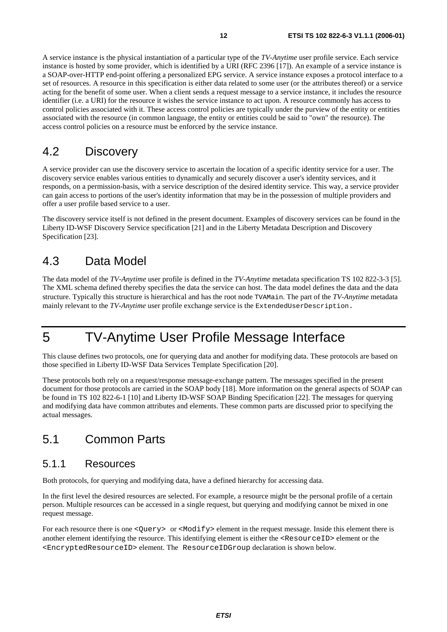A service instance is the physical instantiation of a particular type of the *TV-Anytime* user profile service. Each service instance is hosted by some provider, which is identified by a URI (RFC 2396 [17]). An example of a service instance is a SOAP-over-HTTP end-point offering a personalized EPG service. A service instance exposes a protocol interface to a set of resources. A resource in this specification is either data related to some user (or the attributes thereof) or a service acting for the benefit of some user. When a client sends a request message to a service instance, it includes the resource identifier (i.e. a URI) for the resource it wishes the service instance to act upon. A resource commonly has access to control policies associated with it. These access control policies are typically under the purview of the entity or entities associated with the resource (in common language, the entity or entities could be said to "own" the resource). The access control policies on a resource must be enforced by the service instance.

### 4.2 Discovery

A service provider can use the discovery service to ascertain the location of a specific identity service for a user. The discovery service enables various entities to dynamically and securely discover a user's identity services, and it responds, on a permission-basis, with a service description of the desired identity service. This way, a service provider can gain access to portions of the user's identity information that may be in the possession of multiple providers and offer a user profile based service to a user.

The discovery service itself is not defined in the present document. Examples of discovery services can be found in the Liberty ID-WSF Discovery Service specification [21] and in the Liberty Metadata Description and Discovery Specification [23].

### 4.3 Data Model

The data model of the *TV-Anytime* user profile is defined in the *TV-Anytime* metadata specification TS 102 822-3-3 [5]. The XML schema defined thereby specifies the data the service can host. The data model defines the data and the data structure. Typically this structure is hierarchical and has the root node TVAMain. The part of the *TV-Anytime* metadata mainly relevant to the *TV-Anytime* user profile exchange service is the ExtendedUserDescription.

### 5 TV-Anytime User Profile Message Interface

This clause defines two protocols, one for querying data and another for modifying data. These protocols are based on those specified in Liberty ID-WSF Data Services Template Specification [20].

These protocols both rely on a request/response message-exchange pattern. The messages specified in the present document for those protocols are carried in the SOAP body [18]. More information on the general aspects of SOAP can be found in TS 102 822-6-1 [10] and Liberty ID-WSF SOAP Binding Specification [22]. The messages for querying and modifying data have common attributes and elements. These common parts are discussed prior to specifying the actual messages.

### 5.1 Common Parts

#### 5.1.1 Resources

Both protocols, for querying and modifying data, have a defined hierarchy for accessing data.

In the first level the desired resources are selected. For example, a resource might be the personal profile of a certain person. Multiple resources can be accessed in a single request, but querying and modifying cannot be mixed in one request message.

For each resource there is one <Query> or <Modify> element in the request message. Inside this element there is another element identifying the resource. This identifying element is either the <ResourceID> element or the <EncryptedResourceID> element. The ResourceIDGroup declaration is shown below.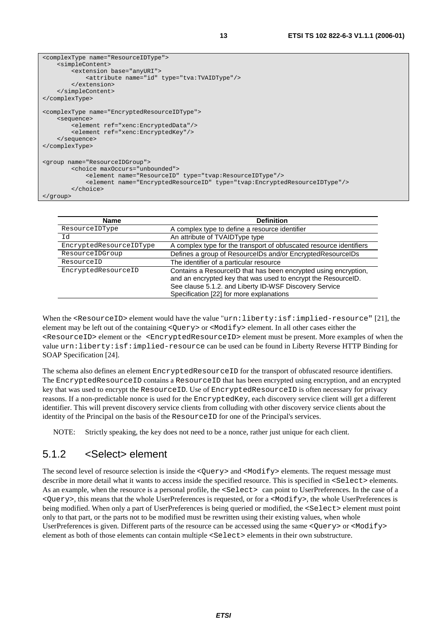```
<complexType name="ResourceIDType"> 
     <simpleContent> 
          <extension base="anyURI"> 
             <attribute name="id" type="tva:TVAIDType"/> 
         </extension> 
     </simpleContent> 
</complexType> 
<complexType name="EncryptedResourceIDType"> 
     <sequence> 
         <element ref="xenc:EncryptedData"/> 
         <element ref="xenc:EncryptedKey"/> 
     </sequence> 
</complexType> 
<group name="ResourceIDGroup"> 
         <choice maxOccurs="unbounded"> 
             <element name="ResourceID" type="tvap:ResourceIDType"/> 
              <element name="EncryptedResourceID" type="tvap:EncryptedResourceIDType"/> 
         </choice> 
</group>
```

| Name                    | <b>Definition</b>                                                                                                                                                                                                                      |
|-------------------------|----------------------------------------------------------------------------------------------------------------------------------------------------------------------------------------------------------------------------------------|
| ResourceIDType          | A complex type to define a resource identifier                                                                                                                                                                                         |
| Id                      | An attribute of TVAIDType type                                                                                                                                                                                                         |
| EncryptedResourceIDType | A complex type for the transport of obfuscated resource identifiers                                                                                                                                                                    |
| ResourceIDGroup         | Defines a group of ResourceIDs and/or EncryptedResourceIDs                                                                                                                                                                             |
| ResourceID              | The identifier of a particular resource                                                                                                                                                                                                |
| EncryptedResourceID     | Contains a ResourceID that has been encrypted using encryption,<br>and an encrypted key that was used to encrypt the ResourceID.<br>See clause 5.1.2. and Liberty ID-WSF Discovery Service<br>Specification [22] for more explanations |

When the <ResourceID> element would have the value "urn:liberty:isf:implied-resource" [21], the element may be left out of the containing <Query> or <Modify> element. In all other cases either the <ResourceID> element or the <EncryptedResourceID> element must be present. More examples of when the value urn:liberty:isf:implied-resource can be used can be found in Liberty Reverse HTTP Binding for SOAP Specification [24].

The schema also defines an element EncryptedResourceID for the transport of obfuscated resource identifiers. The EncryptedResourceID contains a ResourceID that has been encrypted using encryption, and an encrypted key that was used to encrypt the ResourceID. Use of EncryptedResourceID is often necessary for privacy reasons. If a non-predictable nonce is used for the EncryptedKey, each discovery service client will get a different identifier. This will prevent discovery service clients from colluding with other discovery service clients about the identity of the Principal on the basis of the ResourceID for one of the Principal's services.

NOTE: Strictly speaking, the key does not need to be a nonce, rather just unique for each client.

#### 5.1.2 <Select> element

The second level of resource selection is inside the <Query> and <Modify> elements. The request message must describe in more detail what it wants to access inside the specified resource. This is specified in  $\leq$ Select> elements. As an example, when the resource is a personal profile, the  $\leq$ Select> can point to UserPreferences. In the case of a <Query>, this means that the whole UserPreferences is requested, or for a <Modify>, the whole UserPreferences is being modified. When only a part of UserPreferences is being queried or modified, the <Select> element must point only to that part, or the parts not to be modified must be rewritten using their existing values, when whole UserPreferences is given. Different parts of the resource can be accessed using the same <Query> or <Modify> element as both of those elements can contain multiple <Select> elements in their own substructure.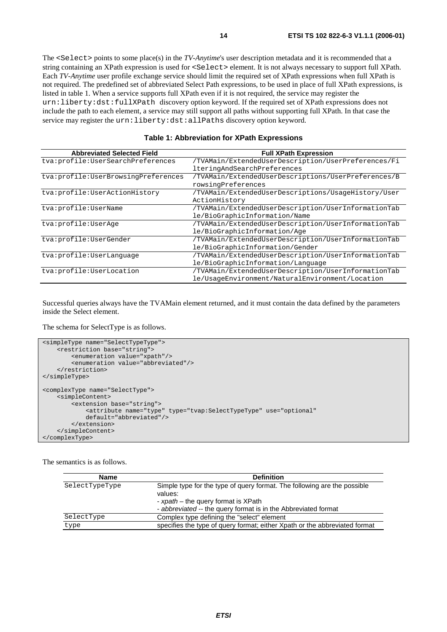The <Select> points to some place(s) in the *TV-Anytime*'s user description metadata and it is recommended that a string containing an XPath expression is used for <Select> element. It is not always necessary to support full XPath. Each *TV-Anytime* user profile exchange service should limit the required set of XPath expressions when full XPath is not required. The predefined set of abbreviated Select Path expressions, to be used in place of full XPath expressions, is listed in table 1. When a service supports full XPath even if it is not required, the service may register the urn:liberty:dst:fullXPath discovery option keyword. If the required set of XPath expressions does not include the path to each element, a service may still support all paths without supporting full XPath. In that case the service may register the urn:liberty:dst:allPaths discovery option keyword.

| <b>Abbreviated Selected Field</b>   | <b>Full XPath Expression</b>                        |
|-------------------------------------|-----------------------------------------------------|
| tva:profile:UserSearchPreferences   | /TVAMain/ExtendedUserDescription/UserPreferences/Fi |
|                                     | lteringAndSearchPreferences                         |
| tva:profile:UserBrowsingPreferences | /TVAMain/ExtendedUserDescriptions/UserPreferences/B |
|                                     | rowsingPreferences                                  |
| tva:profile:UserActionHistory       | /TVAMain/ExtendedUserDescriptions/UsageHistory/User |
|                                     | ActionHistory                                       |
| tva:profile:UserName                | /TVAMain/ExtendedUserDescription/UserInformationTab |
|                                     | le/BioGraphicInformation/Name                       |
| tva:profile:UserAqe                 | /TVAMain/ExtendedUserDescription/UserInformationTab |
|                                     | le/BioGraphicInformation/Age                        |
| tva:profile:UserGender              | /TVAMain/ExtendedUserDescription/UserInformationTab |
|                                     | le/BioGraphicInformation/Gender                     |
| tva:profile:UserLanquage            | /TVAMain/ExtendedUserDescription/UserInformationTab |
|                                     | le/BioGraphicInformation/Language                   |
| tva:profile:UserLocation            | /TVAMain/ExtendedUserDescription/UserInformationTab |
|                                     | le/UsageEnvironment/NaturalEnvironment/Location     |

Successful queries always have the TVAMain element returned, and it must contain the data defined by the parameters inside the Select element.

The schema for SelectType is as follows.

```
<simpleType name="SelectTypeType"> 
    -<br><restriction base="string"
         <enumeration value="xpath"/> 
         <enumeration value="abbreviated"/> 
     </restriction> 
</simpleType> 
<complexType name="SelectType"> 
     <simpleContent> 
         <extension base="string"> 
              <attribute name="type" type="tvap:SelectTypeType" use="optional" 
             default="abbreviated"/> 
         </extension> 
     </simpleContent> 
</complexType>
```
The semantics is as follows.

| <b>Name</b>    | <b>Definition</b>                                                                                                                                                                            |
|----------------|----------------------------------------------------------------------------------------------------------------------------------------------------------------------------------------------|
| SelectTypeType | Simple type for the type of query format. The following are the possible<br>values:<br>- xpath – the query format is XPath<br>- abbreviated -- the query format is in the Abbreviated format |
| SelectType     | Complex type defining the "select" element                                                                                                                                                   |
| type           | specifies the type of query format; either Xpath or the abbreviated format                                                                                                                   |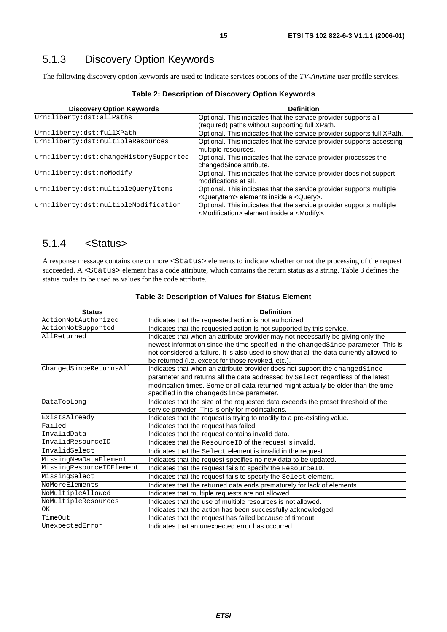### 5.1.3 Discovery Option Keywords

The following discovery option keywords are used to indicate services options of the *TV-Anytime* user profile services.

| <b>Discovery Option Keywords</b>       | <b>Definition</b>                                                       |
|----------------------------------------|-------------------------------------------------------------------------|
| Urn:liberty:dst:allPaths               | Optional. This indicates that the service provider supports all         |
|                                        | (required) paths without supporting full XPath.                         |
| Urn:liberty:dst:fullXPath              | Optional. This indicates that the service provider supports full XPath. |
| urn:liberty:dst:multipleResources      | Optional. This indicates that the service provider supports accessing   |
|                                        | multiple resources.                                                     |
| urn:liberty:dst:changeHistorySupported | Optional. This indicates that the service provider processes the        |
|                                        | changedSince attribute.                                                 |
| Urn:liberty:dst:noModify               | Optional. This indicates that the service provider does not support     |
|                                        | modifications at all.                                                   |
| urn:liberty:dst:multipleQueryItems     | Optional. This indicates that the service provider supports multiple    |
|                                        | <queryitem> elements inside a <query>.</query></queryitem>              |
| urn:liberty:dst:multipleModification   | Optional. This indicates that the service provider supports multiple    |
|                                        | <modification> element inside a <modify>.</modify></modification>       |

**Table 2: Description of Discovery Option Keywords** 

#### 5.1.4 <Status>

A response message contains one or more <Status> elements to indicate whether or not the processing of the request succeeded. A <Status> element has a code attribute, which contains the return status as a string. Table 3 defines the status codes to be used as values for the code attribute.

| <b>Status</b>            | <b>Definition</b>                                                                                                                                                                                                                                                                                 |
|--------------------------|---------------------------------------------------------------------------------------------------------------------------------------------------------------------------------------------------------------------------------------------------------------------------------------------------|
| ActionNotAuthorized      | Indicates that the requested action is not authorized.                                                                                                                                                                                                                                            |
| ActionNotSupported       | Indicates that the requested action is not supported by this service.                                                                                                                                                                                                                             |
| AllReturned              | Indicates that when an attribute provider may not necessarily be giving only the<br>newest information since the time specified in the changedSince parameter. This is<br>not considered a failure. It is also used to show that all the data currently allowed to                                |
|                          | be returned (i.e. except for those revoked, etc.).                                                                                                                                                                                                                                                |
| ChangedSinceReturnsAll   | Indicates that when an attribute provider does not support the changedSince<br>parameter and returns all the data addressed by Select regardless of the latest<br>modification times. Some or all data returned might actually be older than the time<br>specified in the changedSince parameter. |
| DataTooLong              | Indicates that the size of the requested data exceeds the preset threshold of the<br>service provider. This is only for modifications.                                                                                                                                                            |
| ExistsAlready            | Indicates that the request is trying to modify to a pre-existing value.                                                                                                                                                                                                                           |
| Failed                   | Indicates that the request has failed.                                                                                                                                                                                                                                                            |
| InvalidData              | Indicates that the request contains invalid data.                                                                                                                                                                                                                                                 |
| InvalidResourceID        | Indicates that the ResourceID of the request is invalid.                                                                                                                                                                                                                                          |
| InvalidSelect            | Indicates that the Select element is invalid in the request.                                                                                                                                                                                                                                      |
| MissingNewDataElement    | Indicates that the request specifies no new data to be updated.                                                                                                                                                                                                                                   |
| MissingResourceIDElement | Indicates that the request fails to specify the ResourceID.                                                                                                                                                                                                                                       |
| MissingSelect            | Indicates that the request fails to specify the Select element.                                                                                                                                                                                                                                   |
| NoMoreElements           | Indicates that the returned data ends prematurely for lack of elements.                                                                                                                                                                                                                           |
| NoMultipleAllowed        | Indicates that multiple requests are not allowed.                                                                                                                                                                                                                                                 |
| NoMultipleResources      | Indicates that the use of multiple resources is not allowed.                                                                                                                                                                                                                                      |
| OK                       | Indicates that the action has been successfully acknowledged.                                                                                                                                                                                                                                     |
| TimeOut                  | Indicates that the request has failed because of timeout.                                                                                                                                                                                                                                         |
| UnexpectedError          | Indicates that an unexpected error has occurred.                                                                                                                                                                                                                                                  |

#### **Table 3: Description of Values for Status Element**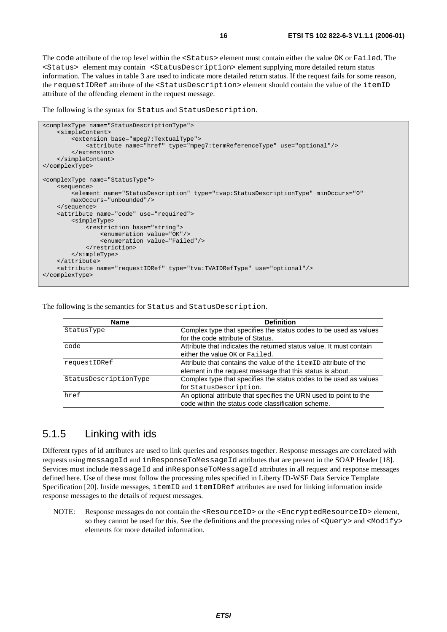The code attribute of the top level within the <Status> element must contain either the value OK or Failed. The <Status> element may contain <StatusDescription> element supplying more detailed return status information. The values in table 3 are used to indicate more detailed return status. If the request fails for some reason, the requestIDRef attribute of the <StatusDescription> element should contain the value of the itemID attribute of the offending element in the request message.

The following is the syntax for Status and StatusDescription.

```
<complexType name="StatusDescriptionType"> 
     <simpleContent> 
         <extension base="mpeg7:TextualType"> 
             <attribute name="href" type="mpeg7:termReferenceType" use="optional"/> 
         </extension> 
     </simpleContent> 
</complexType> 
<complexType name="StatusType"> 
     <sequence> 
         <element name="StatusDescription" type="tvap:StatusDescriptionType" minOccurs="0" 
         maxOccurs="unbounded"/> 
     </sequence> 
     <attribute name="code" use="required"> 
         <simpleType> 
             <restriction base="string"> 
                  <enumeration value="OK"/> 
                  <enumeration value="Failed"/> 
             </restriction> 
         </simpleType> 
     </attribute> 
     <attribute name="requestIDRef" type="tva:TVAIDRefType" use="optional"/> 
</complexType>
```
The following is the semantics for Status and StatusDescription.

| Name                  | <b>Definition</b>                                                   |
|-----------------------|---------------------------------------------------------------------|
| StatusType            | Complex type that specifies the status codes to be used as values   |
|                       | for the code attribute of Status.                                   |
| code                  | Attribute that indicates the returned status value. It must contain |
|                       | either the value OK or Failed.                                      |
| requestIDRef          | Attribute that contains the value of the item ID attribute of the   |
|                       | element in the request message that this status is about.           |
| StatusDescriptionType | Complex type that specifies the status codes to be used as values   |
|                       | for StatusDescription.                                              |
| href                  | An optional attribute that specifies the URN used to point to the   |
|                       | code within the status code classification scheme.                  |

#### 5.1.5 Linking with ids

Different types of id attributes are used to link queries and responses together. Response messages are correlated with requests using messageId and inResponseToMessageId attributes that are present in the SOAP Header [18]. Services must include messageId and inResponseToMessageId attributes in all request and response messages defined here. Use of these must follow the processing rules specified in Liberty ID-WSF Data Service Template Specification [20]. Inside messages, itemID and itemIDRef attributes are used for linking information inside response messages to the details of request messages.

NOTE: Response messages do not contain the <ResourceID> or the <EncryptedResourceID> element, so they cannot be used for this. See the definitions and the processing rules of <Query> and <Modify> elements for more detailed information.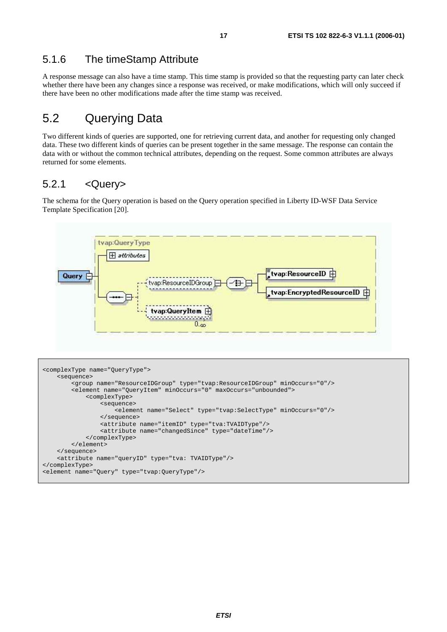#### 5.1.6 The timeStamp Attribute

A response message can also have a time stamp. This time stamp is provided so that the requesting party can later check whether there have been any changes since a response was received, or make modifications, which will only succeed if there have been no other modifications made after the time stamp was received.

### 5.2 Querying Data

Two different kinds of queries are supported, one for retrieving current data, and another for requesting only changed data. These two different kinds of queries can be present together in the same message. The response can contain the data with or without the common technical attributes, depending on the request. Some common attributes are always returned for some elements.

#### 5.2.1 <Query>

The schema for the Query operation is based on the Query operation specified in Liberty ID-WSF Data Service Template Specification [20].



```
<complexType name="QueryType"> 
     <sequence> 
         <group name="ResourceIDGroup" type="tvap:ResourceIDGroup" minOccurs="0"/> 
         <element name="QueryItem" minOccurs="0" maxOccurs="unbounded"> 
             <complexType> 
                  <sequence> 
                      <element name="Select" type="tvap:SelectType" minOccurs="0"/> 
                  </sequence> 
                  <attribute name="itemID" type="tva:TVAIDType"/> 
                  <attribute name="changedSince" type="dateTime"/> 
             </complexType> 
         </element> 
     </sequence> 
     <attribute name="queryID" type="tva: TVAIDType"/> 
</complexType> 
<element name="Query" type="tvap:QueryType"/>
```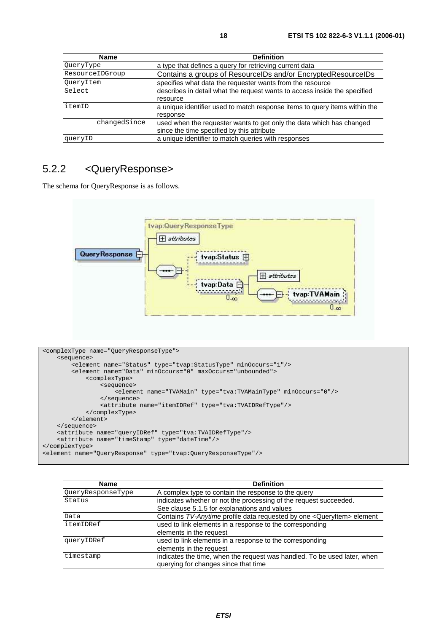| Name            | <b>Definition</b>                                                          |
|-----------------|----------------------------------------------------------------------------|
| QueryType       | a type that defines a query for retrieving current data                    |
| ResourceIDGroup | Contains a groups of ResourceIDs and/or EncryptedResourceIDs               |
| QueryItem       | specifies what data the requester wants from the resource                  |
| Select          | describes in detail what the request wants to access inside the specified  |
|                 | resource                                                                   |
| itemID          | a unique identifier used to match response items to query items within the |
|                 | response                                                                   |
| changedSince    | used when the requester wants to get only the data which has changed       |
|                 | since the time specified by this attribute                                 |
| queryID         | a unique identifier to match queries with responses                        |

#### 5.2.2 <QueryResponse>

The schema for QueryResponse is as follows.



```
<complexType name="QueryResponseType"> 
     <sequence> 
         <element name="Status" type="tvap:StatusType" minOccurs="1"/> 
         <element name="Data" minOccurs="0" maxOccurs="unbounded"> 
             <complexType> 
                  <sequence> 
                     .<br><element name="TVAMain" type="tva:TVAMainType" minOccurs="0"/>
                  </sequence> 
                  <attribute name="itemIDRef" type="tva:TVAIDRefType"/> 
             </complexType> 
         </element> 
     </sequence> 
     <attribute name="queryIDRef" type="tva:TVAIDRefType"/> 
     <attribute name="timeStamp" type="dateTime"/> 
</complexType> 
<element name="QueryResponse" type="tvap:QueryResponseType"/>
```

| <b>Name</b>       | <b>Definition</b>                                                                 |
|-------------------|-----------------------------------------------------------------------------------|
| QueryResponseType | A complex type to contain the response to the query                               |
| Status            | indicates whether or not the processing of the request succeeded.                 |
|                   | See clause 5.1.5 for explanations and values                                      |
| Data              | Contains TV-Anytime profile data requested by one <queryitem> element</queryitem> |
| itemIDRef         | used to link elements in a response to the corresponding                          |
|                   | elements in the request                                                           |
| queryIDRef        | used to link elements in a response to the corresponding                          |
|                   | elements in the request                                                           |
| timestamp         | indicates the time, when the request was handled. To be used later, when          |
|                   | querying for changes since that time                                              |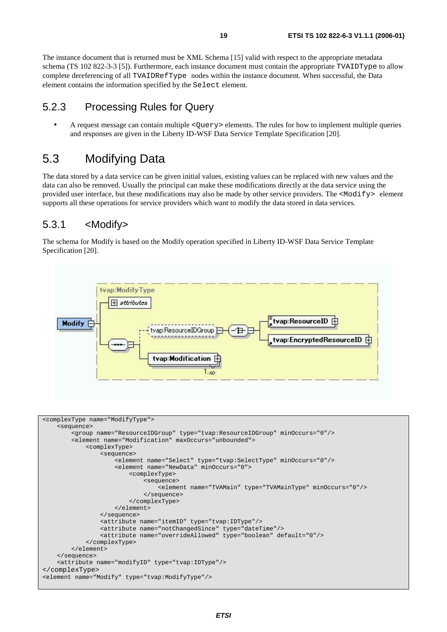The instance document that is returned must be XML Schema [15] valid with respect to the appropriate metadata schema (TS 102 822-3-3 [5]). Furthermore, each instance document must contain the appropriate TVAIDType to allow complete dereferencing of all TVAIDRefType nodes within the instance document. When successful, the Data element contains the information specified by the Select element.

#### 5.2.3 Processing Rules for Query

• A request message can contain multiple <Query> elements. The rules for how to implement multiple queries and responses are given in the Liberty ID-WSF Data Service Template Specification [20].

### 5.3 Modifying Data

The data stored by a data service can be given initial values, existing values can be replaced with new values and the data can also be removed. Usually the principal can make these modifications directly at the data service using the provided user interface, but these modifications may also be made by other service providers. The  $\leq M \circ d \leq y$  element supports all these operations for service providers which want to modify the data stored in data services.

#### 5.3.1 <Modify>

The schema for Modify is based on the Modify operation specified in Liberty ID-WSF Data Service Template Specification [20].

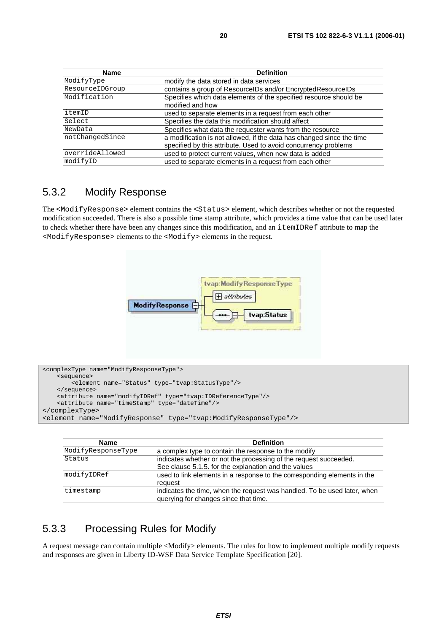| <b>Name</b>     | <b>Definition</b>                                                                                                                        |
|-----------------|------------------------------------------------------------------------------------------------------------------------------------------|
| ModifyType      | modify the data stored in data services                                                                                                  |
| ResourceIDGroup | contains a group of ResourcelDs and/or EncryptedResourceIDs                                                                              |
| Modification    | Specifies which data elements of the specified resource should be<br>modified and how                                                    |
| itemID          | used to separate elements in a request from each other                                                                                   |
| Select          | Specifies the data this modification should affect                                                                                       |
| NewData         | Specifies what data the requester wants from the resource                                                                                |
| notChangedSince | a modification is not allowed, if the data has changed since the time<br>specified by this attribute. Used to avoid concurrency problems |
| overrideAllowed | used to protect current values, when new data is added                                                                                   |
| modifyID        | used to separate elements in a request from each other                                                                                   |

#### 5.3.2 Modify Response

The <ModifyResponse> element contains the <Status> element, which describes whether or not the requested modification succeeded. There is also a possible time stamp attribute, which provides a time value that can be used later to check whether there have been any changes since this modification, and an itemIDRef attribute to map the <ModifyResponse> elements to the <Modify> elements in the request.



```
<complexType name="ModifyResponseType"> 
     <sequence> 
         <element name="Status" type="tvap:StatusType"/> 
     </sequence> 
     <attribute name="modifyIDRef" type="tvap:IDReferenceType"/> 
     <attribute name="timeStamp" type="dateTime"/> 
</complexType> 
<element name="ModifyResponse" type="tvap:ModifyResponseType"/>
```

| <b>Name</b>        | <b>Definition</b>                                                                                                         |
|--------------------|---------------------------------------------------------------------------------------------------------------------------|
| ModifyResponseType | a complex type to contain the response to the modify                                                                      |
| Status             | indicates whether or not the processing of the request succeeded.<br>See clause 5.1.5. for the explanation and the values |
| modifyIDRef        | used to link elements in a response to the corresponding elements in the<br>request                                       |
| timestamp          | indicates the time, when the request was handled. To be used later, when<br>querying for changes since that time.         |

#### 5.3.3 Processing Rules for Modify

A request message can contain multiple <Modify> elements. The rules for how to implement multiple modify requests and responses are given in Liberty ID-WSF Data Service Template Specification [20].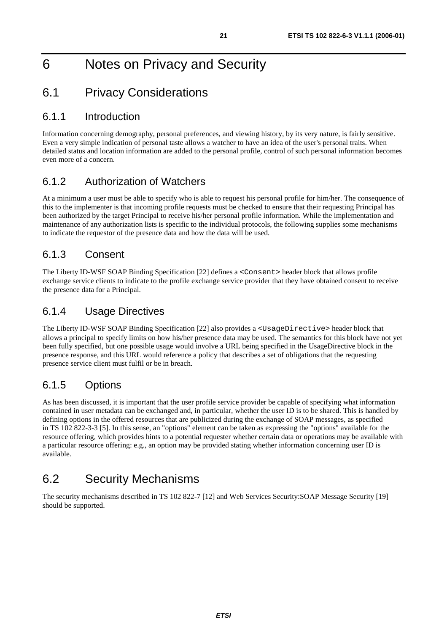## 6 Notes on Privacy and Security

#### 6.1 Privacy Considerations

#### 6.1.1 Introduction

Information concerning demography, personal preferences, and viewing history, by its very nature, is fairly sensitive. Even a very simple indication of personal taste allows a watcher to have an idea of the user's personal traits. When detailed status and location information are added to the personal profile, control of such personal information becomes even more of a concern.

#### 6.1.2 Authorization of Watchers

At a minimum a user must be able to specify who is able to request his personal profile for him/her. The consequence of this to the implementer is that incoming profile requests must be checked to ensure that their requesting Principal has been authorized by the target Principal to receive his/her personal profile information. While the implementation and maintenance of any authorization lists is specific to the individual protocols, the following supplies some mechanisms to indicate the requestor of the presence data and how the data will be used.

#### 6.1.3 Consent

The Liberty ID-WSF SOAP Binding Specification [22] defines a <Consent> header block that allows profile exchange service clients to indicate to the profile exchange service provider that they have obtained consent to receive the presence data for a Principal.

#### 6.1.4 Usage Directives

The Liberty ID-WSF SOAP Binding Specification [22] also provides a <UsageDirective> header block that allows a principal to specify limits on how his/her presence data may be used. The semantics for this block have not yet been fully specified, but one possible usage would involve a URL being specified in the UsageDirective block in the presence response, and this URL would reference a policy that describes a set of obligations that the requesting presence service client must fulfil or be in breach.

#### 6.1.5 Options

As has been discussed, it is important that the user profile service provider be capable of specifying what information contained in user metadata can be exchanged and, in particular, whether the user ID is to be shared. This is handled by defining options in the offered resources that are publicized during the exchange of SOAP messages, as specified in TS 102 822-3-3 [5]. In this sense, an "options" element can be taken as expressing the "options" available for the resource offering, which provides hints to a potential requester whether certain data or operations may be available with a particular resource offering: e.g., an option may be provided stating whether information concerning user ID is available.

### 6.2 Security Mechanisms

The security mechanisms described in TS 102 822-7 [12] and Web Services Security:SOAP Message Security [19] should be supported.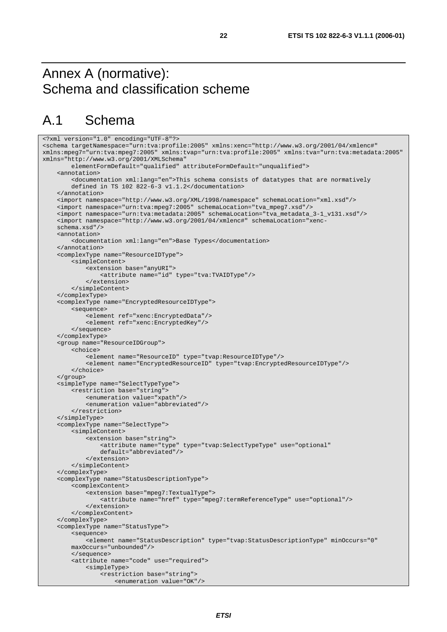### Annex A (normative): Schema and classification scheme

### A.1 Schema

```
<?xml version="1.0" encoding="UTF-8"?> 
<schema targetNamespace="urn:tva:profile:2005" xmlns:xenc="http://www.w3.org/2001/04/xmlenc#" 
xmlns:mpeg7="urn:tva:mpeg7:2005" xmlns:tvap="urn:tva:profile:2005" xmlns:tva="urn:tva:metadata:2005" 
xmlns="http://www.w3.org/2001/XMLSchema" 
         elementFormDefault="qualified" attributeFormDefault="unqualified"> 
     <annotation> 
         <documentation xml:lang="en">This schema consists of datatypes that are normatively 
         defined in TS 102 822-6-3 v1.1.2</documentation> 
     </annotation> 
     <import namespace="http://www.w3.org/XML/1998/namespace" schemaLocation="xml.xsd"/> 
     <import namespace="urn:tva:mpeg7:2005" schemaLocation="tva_mpeg7.xsd"/> 
     <import namespace="urn:tva:metadata:2005" schemaLocation="tva_metadata_3-1_v131.xsd"/> 
     <import namespace="http://www.w3.org/2001/04/xmlenc#" schemaLocation="xenc- 
     schema.xsd"/> 
     <annotation> 
         <documentation xml:lang="en">Base Types</documentation> 
     </annotation> 
     <complexType name="ResourceIDType"> 
         <simpleContent> 
              <extension base="anyURI"> 
                  <attribute name="id" type="tva:TVAIDType"/> 
             </extension> 
         </simpleContent> 
     </complexType> 
     <complexType name="EncryptedResourceIDType"> 
         <sequence> 
              <element ref="xenc:EncryptedData"/> 
             <element ref="xenc:EncryptedKey"/> 
         </sequence> 
     </complexType> 
     <group name="ResourceIDGroup"> 
         <choice> 
              <element name="ResourceID" type="tvap:ResourceIDType"/> 
             <element name="EncryptedResourceID" type="tvap:EncryptedResourceIDType"/> 
         </choice> 
     </group> 
     <simpleType name="SelectTypeType"> 
         <restriction base="string"> 
             <enumeration value="xpath"/> 
              <enumeration value="abbreviated"/> 
         </restriction> 
     </simpleType> 
     <complexType name="SelectType"> 
         <simpleContent> 
              <extension base="string"> 
                  <attribute name="type" type="tvap:SelectTypeType" use="optional" 
                  default="abbreviated"/> 
              </extension> 
         </simpleContent> 
     </complexType> 
     <complexType name="StatusDescriptionType"> 
         <complexContent> 
              <extension base="mpeg7:TextualType"> 
                  <attribute name="href" type="mpeg7:termReferenceType" use="optional"/> 
             </extension> 
         </complexContent> 
     </complexType> 
     <complexType name="StatusType"> 
         <sequence> 
              <element name="StatusDescription" type="tvap:StatusDescriptionType" minOccurs="0" 
         maxOccurs="unbounded"/> 
         </sequence> 
         <attribute name="code" use="required"> 
              <simpleType> 
                  <restriction base="string"> 
                      <enumeration value="OK"/>
```
**ETSI**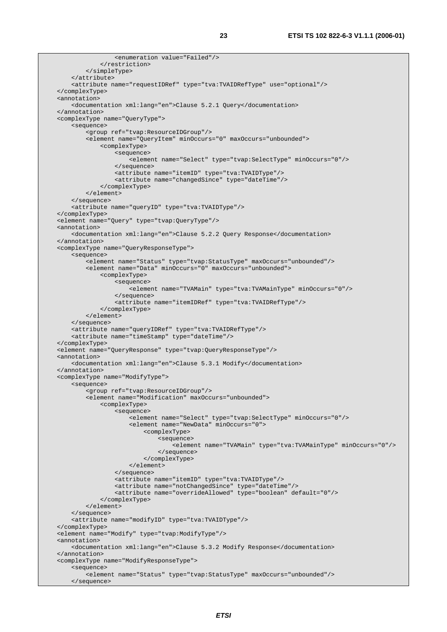```
 <enumeration value="Failed"/> 
              </restriction> 
          </simpleType> 
     </attribute> 
     <attribute name="requestIDRef" type="tva:TVAIDRefType" use="optional"/> 
 </complexType> 
 <annotation> 
     <documentation xml:lang="en">Clause 5.2.1 Query</documentation> 
 </annotation> 
 <complexType name="QueryType"> 
     <sequence> 
         <group ref="tvap:ResourceIDGroup"/> 
         <element name="QueryItem" minOccurs="0" maxOccurs="unbounded"> 
              <complexType> 
                  <sequence> 
                      <element name="Select" type="tvap:SelectType" minOccurs="0"/> 
                  </sequence> 
                  <attribute name="itemID" type="tva:TVAIDType"/> 
                  <attribute name="changedSince" type="dateTime"/> 
              </complexType> 
         </element> 
     </sequence> 
     <attribute name="queryID" type="tva:TVAIDType"/> 
 </complexType> 
 <element name="Query" type="tvap:QueryType"/> 
 <annotation> 
     <documentation xml:lang="en">Clause 5.2.2 Query Response</documentation> 
 </annotation> 
 <complexType name="QueryResponseType"> 
     <sequence> 
         <element name="Status" type="tvap:StatusType" maxOccurs="unbounded"/> 
         <element name="Data" minOccurs="0" maxOccurs="unbounded"> 
              <complexType> 
                  <sequence> 
                      <element name="TVAMain" type="tva:TVAMainType" minOccurs="0"/> 
                  </sequence> 
                  <attribute name="itemIDRef" type="tva:TVAIDRefType"/> 
              </complexType> 
         </element> 
     </sequence> 
     <attribute name="queryIDRef" type="tva:TVAIDRefType"/> 
     <attribute name="timeStamp" type="dateTime"/> 
 </complexType> 
 <element name="QueryResponse" type="tvap:QueryResponseType"/> 
 <annotation> 
     <documentation xml:lang="en">Clause 5.3.1 Modify</documentation> 
 </annotation> 
 <complexType name="ModifyType"> 
     <sequence> 
          <group ref="tvap:ResourceIDGroup"/> 
         <element name="Modification" maxOccurs="unbounded"> 
              <complexType> 
                  <sequence> 
                      <element name="Select" type="tvap:SelectType" minOccurs="0"/> 
                      <element name="NewData" minOccurs="0"> 
                           <complexType> 
                               <sequence> 
                                   <element name="TVAMain" type="tva:TVAMainType" minOccurs="0"/> 
                               </sequence> 
                           </complexType> 
                      </element> 
                  </sequence> 
                  <attribute name="itemID" type="tva:TVAIDType"/> 
                  <attribute name="notChangedSince" type="dateTime"/> 
                  <attribute name="overrideAllowed" type="boolean" default="0"/> 
              </complexType> 
         </element> 
     </sequence> 
     <attribute name="modifyID" type="tva:TVAIDType"/> 
 </complexType> 
 <element name="Modify" type="tvap:ModifyType"/> 
 <annotation> 
     <documentation xml:lang="en">Clause 5.3.2 Modify Response</documentation> 
 </annotation> 
 <complexType name="ModifyResponseType"> 
     <sequence> 
         <element name="Status" type="tvap:StatusType" maxOccurs="unbounded"/> 
     </sequence>
```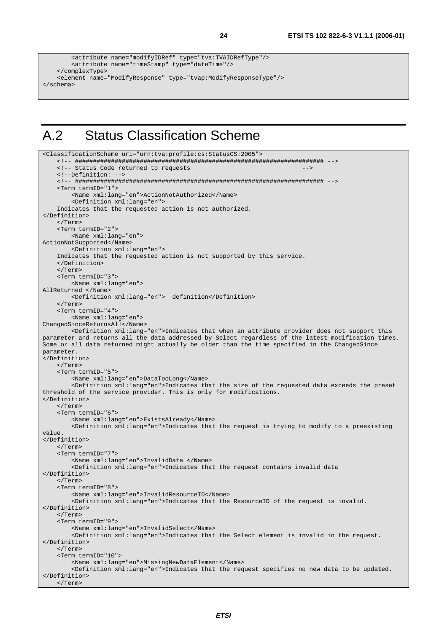```
 <attribute name="modifyIDRef" type="tva:TVAIDRefType"/> 
         <attribute name="timeStamp" type="dateTime"/> 
     </complexType> 
     <element name="ModifyResponse" type="tvap:ModifyResponseType"/> 
</schema>
```
### A.2 Status Classification Scheme

<ClassificationScheme uri="urn:tva:profile:cs:StatusCS:2005">

```
 <!-- ##################################################################### --> 
    <!-- Status Code returned to requests
     <!--Definition: --> 
     <!-- ##################################################################### --> 
     <Term termID="1"> 
         <Name xml:lang="en">ActionNotAuthorized</Name> 
          <Definition xml:lang="en"> 
     Indicates that the requested action is not authorized. 
</Definition> 
     </Term> 
     <Term termID="2"> 
         <Name xml:lang="en"> 
ActionNotSupported</Name> 
         <Definition xml:lang="en"> 
     Indicates that the requested action is not supported by this service. 
     </Definition> 
     </Term> 
     <Term termID="3"> 
         <Name xml:lang="en"> 
AllReturned </Name> 
         <Definition xml:lang="en"> definition</Definition> 
     </Term> 
     <Term termID="4"> 
         <Name xml:lang="en"> 
ChangedSinceReturnsAll</Name> 
         <Definition xml:lang="en">Indicates that when an attribute provider does not support this 
parameter and returns all the data addressed by Select regardless of the latest modification times. 
Some or all data returned might actually be older than the time specified in the ChangedSince 
parameter. 
</Definition> 
     </Term> 
     <Term termID="5"> 
         <Name xml:lang="en">DataTooLong</Name> 
         <Definition xml:lang="en">Indicates that the size of the requested data exceeds the preset 
threshold of the service provider. This is only for modifications. 
</Definition> 
     </Term> 
     <Term termID="6"> 
         <Name xml:lang="en">ExistsAlready</Name> 
         <Definition xml:lang="en">Indicates that the request is trying to modify to a preexisting 
value. 
</Definition> 
     </Term> 
     <Term termID="7"> 
         <Name xml:lang="en">InvalidData </Name> 
         <Definition xml:lang="en">Indicates that the request contains invalid data 
</Definition> 
     </Term> 
     <Term termID="8"> 
         <Name xml:lang="en">InvalidResourceID</Name> 
         <Definition xml:lang="en">Indicates that the ResourceID of the request is invalid. 
</Definition> 
     </Term> 
     <Term termID="9"> 
         <Name xml:lang="en">InvalidSelect</Name> 
         <Definition xml:lang="en">Indicates that the Select element is invalid in the request. 
</Definition> 
     </Term> 
     <Term termID="10"> 
         <Name xml:lang="en">MissingNewDataElement</Name> 
         <Definition xml:lang="en">Indicates that the request specifies no new data to be updated. 
</Definition> 
     </Term>
```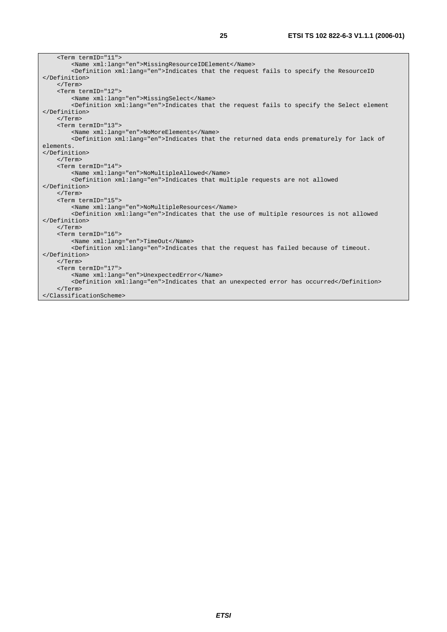| <term termid="11"></term>                                                                             |  |  |  |  |
|-------------------------------------------------------------------------------------------------------|--|--|--|--|
| <name xml:lang="en">MissingResourceIDElement</name>                                                   |  |  |  |  |
| <definition xml:lang="en">Indicates that the request fails to specify the ResourceID</definition>     |  |  |  |  |
|                                                                                                       |  |  |  |  |
| $\langle$ /Term $\rangle$                                                                             |  |  |  |  |
| <term termid="12"></term>                                                                             |  |  |  |  |
| <name lang="en" xml:="">MissingSelect</name>                                                          |  |  |  |  |
| <definition xml:lang="en">Indicates that the request fails to specify the Select element</definition> |  |  |  |  |
|                                                                                                       |  |  |  |  |
| $\langle$ Term>                                                                                       |  |  |  |  |
| <term termid="13"></term>                                                                             |  |  |  |  |
| <name lang="en" xml:="">NoMoreElements</name>                                                         |  |  |  |  |
| <definition xml:lang="en">Indicates that the returned data ends prematurely for lack of</definition>  |  |  |  |  |
| elements.                                                                                             |  |  |  |  |
|                                                                                                       |  |  |  |  |
| $\langle$ /Term $\rangle$                                                                             |  |  |  |  |
| <term termid="14"></term>                                                                             |  |  |  |  |
| <name lang="en" xml:="">NoMultipleAllowed</name>                                                      |  |  |  |  |
| <definition xml:lang="en">Indicates that multiple requests are not allowed</definition>               |  |  |  |  |
|                                                                                                       |  |  |  |  |
| $\langle$ Term $\rangle$                                                                              |  |  |  |  |
| <term termid="15"></term>                                                                             |  |  |  |  |
| <name lang="en" xml:="">NoMultipleResources</name>                                                    |  |  |  |  |
| <definition xml:lang="en">Indicates that the use of multiple resources is not allowed</definition>    |  |  |  |  |
|                                                                                                       |  |  |  |  |
| $\langle$ Term $\rangle$                                                                              |  |  |  |  |
| <term termid="16"></term>                                                                             |  |  |  |  |
| <name lang="en" xml:="">TimeOut</name>                                                                |  |  |  |  |
| <definition xml:lang="en">Indicates that the request has failed because of timeout.</definition>      |  |  |  |  |
|                                                                                                       |  |  |  |  |
| $\langle$ Term>                                                                                       |  |  |  |  |
| $<$ Term termID="17">                                                                                 |  |  |  |  |
| <name xml:lang="en">UnexpectedError</name>                                                            |  |  |  |  |
| <definition xml:lang="en">Indicates that an unexpected error has occurred</definition>                |  |  |  |  |
| $\langle$ Term>                                                                                       |  |  |  |  |
|                                                                                                       |  |  |  |  |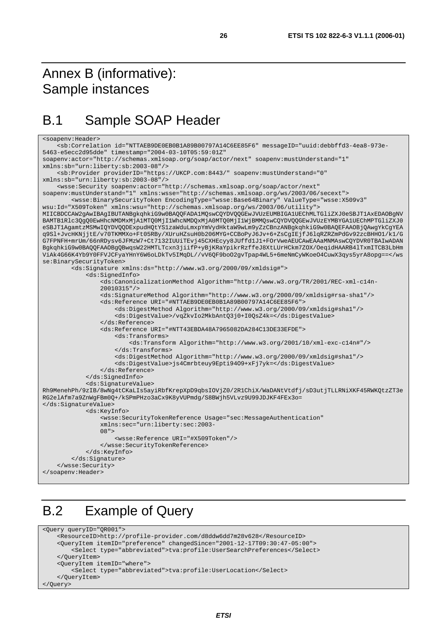### Annex B (informative): Sample instances

### B.1 Sample SOAP Header

```
<soapenv:Header> 
     <sb:Correlation id="NTTAEB9DE0EB0B1A89B00797A14C6EE85F6" messageID="uuid:debbffd3-4ea8-973e-
5463-e5ecc2d95dde" timestamp="2004-03-10T05:59:01Z" 
soapenv:actor="http://schemas.xmlsoap.org/soap/actor/next" soapenv:mustUnderstand="1" 
xmlns:sb="urn:liberty:sb:2003-08"/> 
     <sb:Provider providerID="https://UKCP.com:8443/" soapenv:mustUnderstand="0" 
xmlns:sb="urn:liberty:sb:2003-08"/> 
     <wsse:Security soapenv:actor="http://schemas.xmlsoap.org/soap/actor/next" 
soapenv:mustUnderstand="1" xmlns:wsse="http://schemas.xmlsoap.org/ws/2003/06/secext"> 
         <wsse:BinarySecurityToken EncodingType="wsse:Base64Binary" ValueType="wsse:X509v3" 
wsu:Id="X509Token" xmlns:wsu="http://schemas.xmlsoap.org/ws/2003/06/utility"> 
MIICBDCCAW2gAwIBAgIBUTANBgkqhkiG9w0BAQQFADA1MQswCQYDVQQGEwJVUzEUMBIGA1UEChMLTGliZXJ0eSBJT1AxEDAOBgNV
BAMTB1Rlc3QgQ0EwHhcNMDMxMjA1MTQ0MjI1WhcNMDQxMjA0MTQ0MjI1WjBMMQswCQYDVQQGEwJVUzEYMBYGA1UEChMPTGliZXJ0
eSBJT1AgamtzMSMwIQYDVQQDExpudHQtYS1zaWduLmxpYmVydHktaW9wLm9yZzCBnzANBgkqhkiG9w0BAQEFAAOBjQAwgYkCgYEA
q9Sl+JvcHKNjjtE/v70TKMMXo+Ft05RBy/XUruHZsuH0b206MYG+CCBoPyJ6Jv+6+ZsCgIEjfJ6lqRZRZmPdGv92zcBHHO1/k1/G
G7FPNFH+mrUm/66nRDysv6JFMzW7+Ct7132IUUiTEvj45CXHEcyy8JUffd1J1+FOrVweAEUCAwEAAaMNMAswCQYDVR0TBAIwADAN
BgkqhkiG9w0BAQQFAAOBgQBwqsW22HMTLTcxn3jiifP+yBjKRaYpikrRzffeJ8XtLUrHCkm7ZOX/OeqidHAARB4lTxmITCB3LbHm
ViAk4G66K4Yb9Y0FFVJCFyaYHnY6W6oLDkTv5IMqDL//vV6QF9boO2gvTpap4WL5+6meNmCyWKoeO4CuwX3qys5yrA8opg==</ws
se:BinarySecurityToken> 
         <ds:Signature xmlns:ds="http://www.w3.org/2000/09/xmldsig#"> 
             <ds:SignedInfo> 
                 <ds:CanonicalizationMethod Algorithm="http://www.w3.org/TR/2001/REC-xml-c14n- 
                 20010315"/> 
                 <ds:SignatureMethod Algorithm="http://www.w3.org/2000/09/xmldsig#rsa-sha1"/> 
                 <ds:Reference URI="#NTTAEB9DE0EB0B1A89B00797A14C6EE85F6"> 
                      <ds:DigestMethod Algorithm="http://www.w3.org/2000/09/xmldsig#sha1"/> 
                      <ds:DigestValue>/vqZkvIo2MkbAntQ3j0+I0QsZ4k=</ds:DigestValue> 
                 </ds:Reference> 
                 <ds:Reference URI="#NTT43EBDA48A7965082DA284C13DE33EFDE"> 
                     <ds:Transforms> 
                          <ds:Transform Algorithm="http://www.w3.org/2001/10/xml-exc-c14n#"/> 
                      </ds:Transforms> 
                      <ds:DigestMethod Algorithm="http://www.w3.org/2000/09/xmldsig#sha1"/> 
                      <ds:DigestValue>js4Cmrbteuy9Epti94O9+xFj7yk=</ds:DigestValue> 
                 </ds:Reference> 
             </ds:SignedInfo> 
             <ds:SignatureValue> 
Rh9MenehPh/9zIB/8wNg4tCKaLIs5ayiRbfKrepXpD9qbsIOVjZ0/2R1ChiX/WaDANtVtdfj/sD3utjTLLRNiXKF45RWKQtzZT3e
RG2elAfm7a9ZnWgFBm0Q+/kSPmPHzo3aCx9K8yVUPmdg/S8BWjh5VLvz9U99JDJKF4FEx3o= 
</ds:SignatureValue> 
             <ds:KeyInfo> 
                 <wsse:SecurityTokenReference Usage="sec:MessageAuthentication" 
                 xmlns:sec="urn:liberty:sec:2003- 
                08" <wsse:Reference URI="#X509Token"/> 
                 </wsse:SecurityTokenReference> 
             </ds:KeyInfo> 
         </ds:Signature> 
     </wsse:Security> 
</soapenv:Header>
```
### B.2 Example of Query

```
<Query queryID="QR001"> 
     <ResourceID>http://profile-provider.com/d8ddw6dd7m28v628</ResourceID> 
     <QueryItem itemID="preference" changedSince="2001-12-17T09:30:47-05:00"> 
         <Select type="abbreviated">tva:profile:UserSearchPreferences</Select> 
    </QueryItem> 
     <QueryItem itemID="where"> 
         <Select type="abbreviated">tva:profile:UserLocation</Select> 
     </QueryItem> 
</Query>
```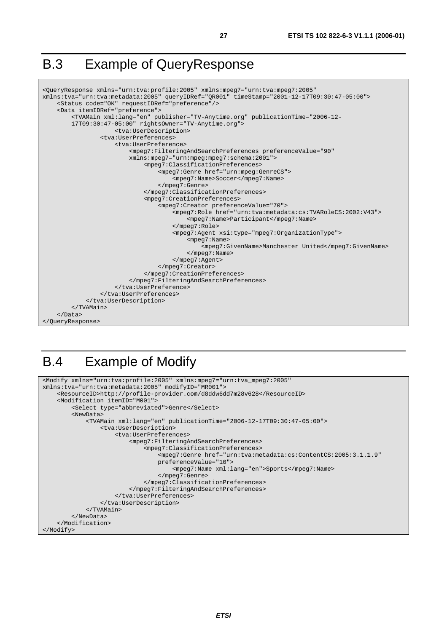### B.3 Example of QueryResponse

```
<QueryResponse xmlns="urn:tva:profile:2005" xmlns:mpeg7="urn:tva:mpeg7:2005" 
xmlns:tva="urn:tva:metadata:2005" queryIDRef="QR001" timeStamp="2001-12-17T09:30:47-05:00"> 
     <Status code="OK" requestIDRef="preference"/> 
     <Data itemIDRef="preference"> 
         <TVAMain xml:lang="en" publisher="TV-Anytime.org" publicationTime="2006-12- 
         17T09:30:47-05:00" rightsOwner="TV-Anytime.org"> 
                      <tva:UserDescription> 
                  <tva:UserPreferences> 
                      <tva:UserPreference> 
                           <mpeg7:FilteringAndSearchPreferences preferenceValue="90" 
                          xmlns:mpeg7="urn:mpeg:mpeg7:schema:2001"> 
                               <mpeg7:ClassificationPreferences> 
                                   <mpeg7:Genre href="urn:mpeg:GenreCS"> 
                                        <mpeg7:Name>Soccer</mpeg7:Name> 
                                   </mpeg7:Genre> 
                               </mpeg7:ClassificationPreferences> 
                               <mpeg7:CreationPreferences> 
                                   <mpeg7:Creator preferenceValue="70"> 
                                        <mpeg7:Role href="urn:tva:metadata:cs:TVARoleCS:2002:V43"> 
                                            <mpeg7:Name>Participant</mpeg7:Name> 
                                        </mpeg7:Role> 
                                        <mpeg7:Agent xsi:type="mpeg7:OrganizationType"> 
                                            <mpeg7:Name> 
                                                <mpeg7:GivenName>Manchester United</mpeg7:GivenName> 
                                            </mpeg7:Name> 
                                        </mpeg7:Agent> 
                                   </mpeg7:Creator> 
                               </mpeg7:CreationPreferences> 
                          </mpeg7:FilteringAndSearchPreferences> 
                      </tva:UserPreference> 
                  </tva:UserPreferences> 
              </tva:UserDescription> 
         </TVAMain> 
     </Data> 
</QueryResponse>
```
### B.4 Example of Modify

```
<Modify xmlns="urn:tva:profile:2005" xmlns:mpeg7="urn:tva_mpeg7:2005" 
xmlns:tva="urn:tva:metadata:2005" modifyID="MR001"> 
     <ResourceID>http://profile-provider.com/d8ddw6dd7m28v628</ResourceID> 
     <Modification itemID="M001"> 
         <Select type="abbreviated">Genre</Select> 
         <NewData> 
              <TVAMain xml:lang="en" publicationTime="2006-12-17T09:30:47-05:00"> 
                  <tva:UserDescription> 
                      <tva:UserPreferences> 
                           <mpeg7:FilteringAndSearchPreferences> 
                               <mpeg7:ClassificationPreferences> 
                                   <mpeg7:Genre href="urn:tva:metadata:cs:ContentCS:2005:3.1.1.9" 
                                   preferenceValue="10"> 
                                        <mpeg7:Name xml:lang="en">Sports</mpeg7:Name> 
                                   </mpeg7:Genre> 
                               </mpeg7:ClassificationPreferences> 
                           </mpeg7:FilteringAndSearchPreferences> 
                      </tva:UserPreferences> 
                  </tva:UserDescription> 
              </TVAMain> 
         </NewData> 
     </Modification> 
</Modify>
```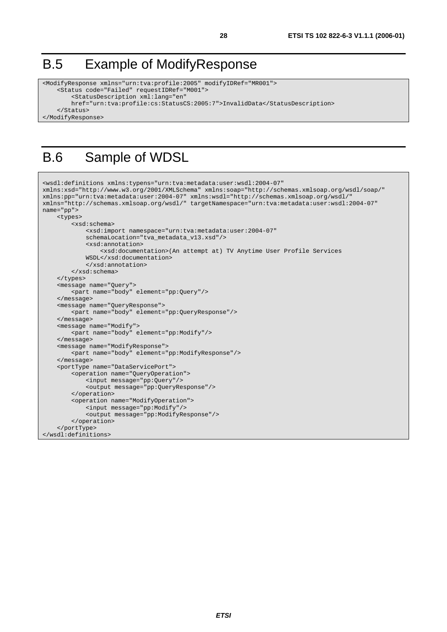### B.5 Example of ModifyResponse

```
<ModifyResponse xmlns="urn:tva:profile:2005" modifyIDRef="MR001"> 
     <Status code="Failed" requestIDRef="M001"> 
         <StatusDescription xml:lang="en" 
         href="urn:tva:profile:cs:StatusCS:2005:7">InvalidData</StatusDescription> 
     </Status> 
</ModifyResponse>
```
### B.6 Sample of WDSL

```
<wsdl:definitions xmlns:typens="urn:tva:metadata:user:wsdl:2004-07" 
xmlns:xsd="http://www.w3.org/2001/XMLSchema" xmlns:soap="http://schemas.xmlsoap.org/wsdl/soap/" 
xmlns:pp="urn:tva:metadata:user:2004-07" xmlns:wsdl="http://schemas.xmlsoap.org/wsdl/" 
xmlns="http://schemas.xmlsoap.org/wsdl/" targetNamespace="urn:tva:metadata:user:wsdl:2004-07" 
name="pp"> 
     <types> 
         <xsd:schema> 
             <xsd:import namespace="urn:tva:metadata:user:2004-07" 
             schemaLocation="tva_metadata_v13.xsd"/> 
             <xsd:annotation> 
                  <xsd:documentation>(An attempt at) TV Anytime User Profile Services 
             WSDL</xsd:documentation> 
              </xsd:annotation> 
         </xsd:schema> 
     </types> 
     <message name="Query"> 
         <part name="body" element="pp:Query"/> 
     </message> 
     <message name="QueryResponse"> 
         <part name="body" element="pp:QueryResponse"/> 
     </message> 
     <message name="Modify"> 
         <part name="body" element="pp:Modify"/> 
     </message> 
     <message name="ModifyResponse"> 
         <part name="body" element="pp:ModifyResponse"/> 
     </message> 
     <portType name="DataServicePort"> 
         <operation name="QueryOperation"> 
             <input message="pp:Query"/> 
              <output message="pp:QueryResponse"/> 
         </operation> 
         <operation name="ModifyOperation"> 
             <input message="pp:Modify"/> 
             <output message="pp:ModifyResponse"/> 
         </operation> 
     </portType> 
</wsdl:definitions>
```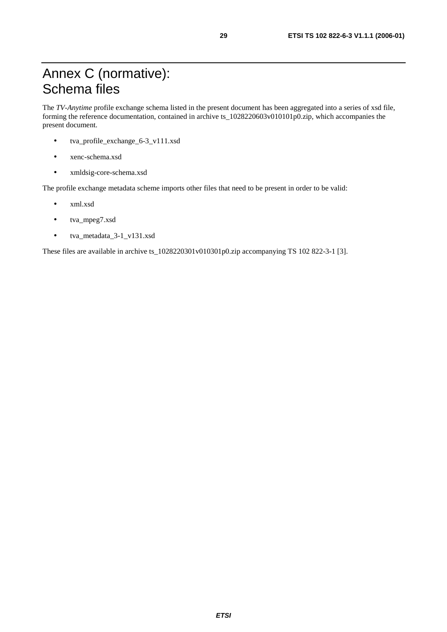## Annex C (normative): Schema files

The *TV-Anytime* profile exchange schema listed in the present document has been aggregated into a series of xsd file, forming the reference documentation, contained in archive ts\_1028220603v010101p0.zip, which accompanies the present document.

- tva\_profile\_exchange\_6-3\_v111.xsd
- xenc-schema.xsd
- xmldsig-core-schema.xsd

The profile exchange metadata scheme imports other files that need to be present in order to be valid:

- xml.xsd
- tva\_mpeg7.xsd
- tva\_metadata\_3-1\_v131.xsd

These files are available in archive ts\_1028220301v010301p0.zip accompanying TS 102 822-3-1 [3].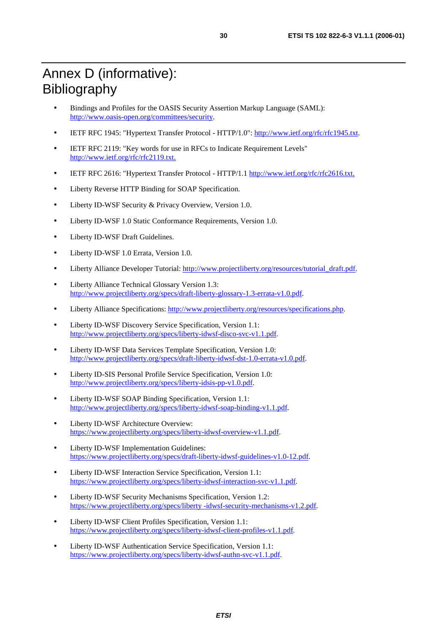## Annex D (informative): Bibliography

- Bindings and Profiles for the OASIS Security Assertion Markup Language (SAML): <http://www.oasis-open.org/committees/security>.
- IETF RFC 1945: "Hypertext Transfer Protocol HTTP/1.0": [http://www.ietf.org/rfc/rfc1945.txt](ftp://ftp.rfc-editor.org/in-notes/rfc1945.txt).
- IETF RFC 2119: "Key words for use in RFCs to Indicate Requirement Levels" <http://www.ietf.org/rfc/rfc2119.txt>.
- IETF RFC 2616: "Hypertext Transfer Protocol HTTP/1.1 [http://www.ietf.org/rfc/rfc2616.txt](ftp://ftp.rfc-editor.org/in-notes/rfc2616.txt).
- Liberty Reverse HTTP Binding for SOAP Specification.
- Liberty ID-WSF Security & Privacy Overview, Version 1.0.
- Liberty ID-WSF 1.0 Static Conformance Requirements, Version 1.0.
- Liberty ID-WSF Draft Guidelines.
- Liberty ID-WSF 1.0 Errata, Version 1.0.
- Liberty Alliance Developer Tutorial: [http://www.projectliberty.org/resources/tutorial\\_draft.pdf](http://www.projectliberty.org/resources/tutorial_draft.pdf).
- Liberty Alliance Technical Glossary Version 1.3: <http://www.projectliberty.org/specs/draft-liberty-glossary-1.3-errata-v1.0.pdf>.
- Liberty Alliance Specifications: <http://www.projectliberty.org/resources/specifications.php>.
- Liberty ID-WSF Discovery Service Specification, Version 1.1: <http://www.projectliberty.org/specs/liberty-idwsf-disco-svc-v1.1.pdf>.
- Liberty ID-WSF Data Services Template Specification, Version 1.0: <http://www.projectliberty.org/specs/draft-liberty-idwsf-dst-1.0-errata-v1.0.pdf>.
- Liberty ID-SIS Personal Profile Service Specification, Version 1.0: <http://www.projectliberty.org/specs/liberty-idsis-pp-v1.0.pdf>.
- Liberty ID-WSF SOAP Binding Specification, Version 1.1: <http://www.projectliberty.org/specs/liberty-idwsf-soap-binding-v1.1.pdf>.
- Liberty ID-WSF Architecture Overview: <https://www.projectliberty.org/specs/liberty-idwsf-overview-v1.1.pdf>.
- Liberty ID-WSF Implementation Guidelines: <https://www.projectliberty.org/specs/draft-liberty-idwsf-guidelines-v1.0-12.pdf>.
- Liberty ID-WSF Interaction Service Specification, Version 1.1: <https://www.projectliberty.org/specs/liberty-idwsf-interaction-svc-v1.1.pdf>.
- Liberty ID-WSF Security Mechanisms Specification, Version 1.2: [https://www.projectliberty.org/specs/liberty -idwsf-security-mechanisms-v1.2.pdf](https://www.projectliberty.org/specs/liberty-idwsf-security-mechanisms-v1.2.pdf).
- Liberty ID-WSF Client Profiles Specification, Version 1.1: <https://www.projectliberty.org/specs/liberty-idwsf-client-profiles-v1.1.pdf>.
- Liberty ID-WSF Authentication Service Specification, Version 1.1: <https://www.projectliberty.org/specs/liberty-idwsf-authn-svc-v1.1.pdf>.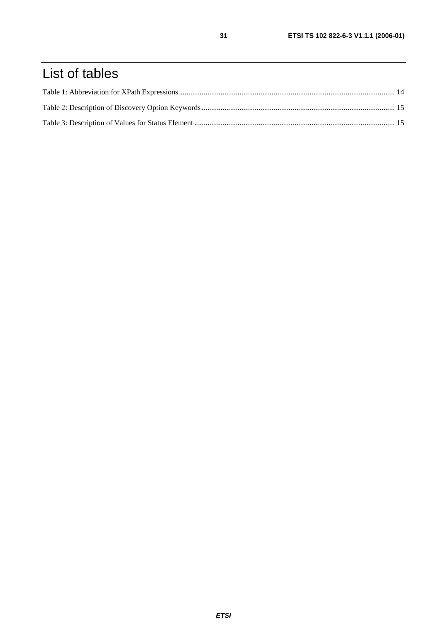## List of tables